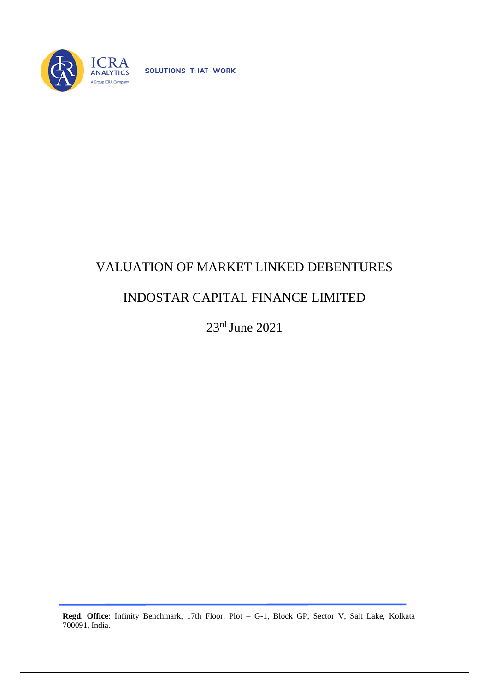

SOLUTIONS THAT WORK

## VALUATION OF MARKET LINKED DEBENTURES

## INDOSTAR CAPITAL FINANCE LIMITED

23rd June 2021

**Regd. Office**: Infinity Benchmark, 17th Floor, Plot – G-1, Block GP, Sector V, Salt Lake, Kolkata 700091, India.